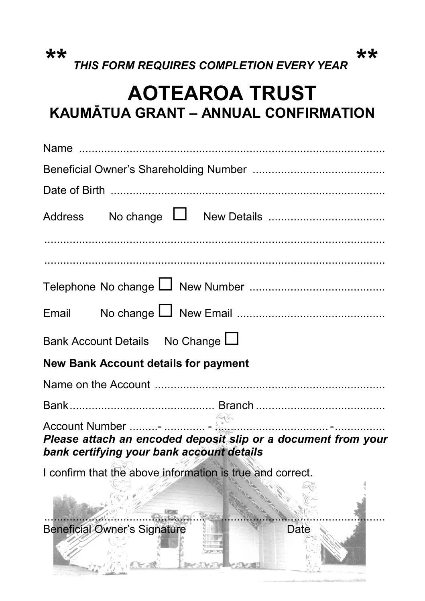*\*\* THIS FORM REQUIRES COMPLETION EVERY YEAR \*\** 

## **AOTEAROA TRUST KAUMĀTUA GRANT – ANNUAL CONFIRMATION**

| Address                                                                                                    |  |  |  |
|------------------------------------------------------------------------------------------------------------|--|--|--|
|                                                                                                            |  |  |  |
|                                                                                                            |  |  |  |
| Email                                                                                                      |  |  |  |
| Bank Account Details No Change L                                                                           |  |  |  |
| <b>New Bank Account details for payment</b>                                                                |  |  |  |
|                                                                                                            |  |  |  |
|                                                                                                            |  |  |  |
| Please attach an encoded deposit slip or a document from your<br>bank certifying your bank account details |  |  |  |
| I confirm that the above information is true and correct.                                                  |  |  |  |
|                                                                                                            |  |  |  |
| <b>Beneficial Owner's Signature</b><br>Date                                                                |  |  |  |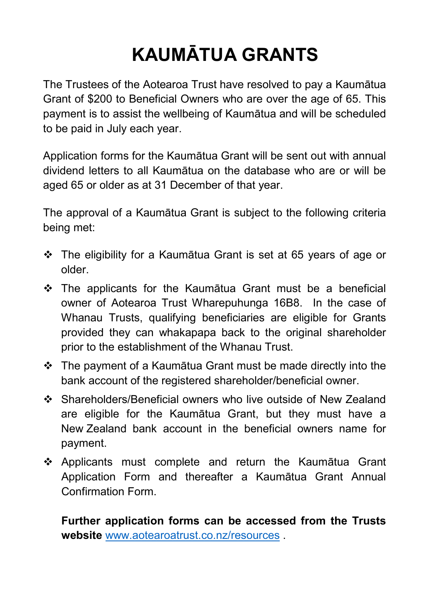# **KAUMĀTUA GRANTS**

The Trustees of the Aotearoa Trust have resolved to pay a Kaumātua Grant of \$200 to Beneficial Owners who are over the age of 65. This payment is to assist the wellbeing of Kaumātua and will be scheduled to be paid in July each year.

Application forms for the Kaumātua Grant will be sent out with annual dividend letters to all Kaumātua on the database who are or will be aged 65 or older as at 31 December of that year.

The approval of a Kaumātua Grant is subject to the following criteria being met:

- The eligibility for a Kaumātua Grant is set at 65 years of age or older.
- The applicants for the Kaumātua Grant must be a beneficial owner of Aotearoa Trust Wharepuhunga 16B8. In the case of Whanau Trusts, qualifying beneficiaries are eligible for Grants provided they can whakapapa back to the original shareholder prior to the establishment of the Whanau Trust.
- The payment of a Kaumātua Grant must be made directly into the bank account of the registered shareholder/beneficial owner.
- Shareholders/Beneficial owners who live outside of New Zealand are eligible for the Kaumātua Grant, but they must have a New Zealand bank account in the beneficial owners name for payment.
- Applicants must complete and return the Kaumātua Grant Application Form and thereafter a Kaumātua Grant Annual Confirmation Form.

**Further application forms can be accessed from the Trusts website** www.aotearoatrust.co.nz/resources .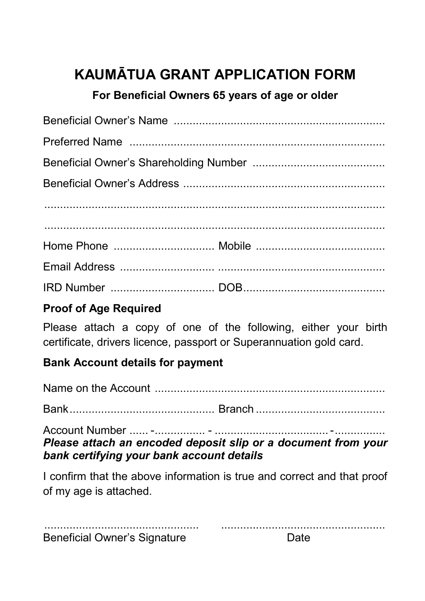## **KAUMĀTUA GRANT APPLICATION FORM**

#### **For Beneficial Owners 65 years of age or older**

#### **Proof of Age Required**

Please attach a copy of one of the following, either your birth certificate, drivers licence, passport or Superannuation gold card.

#### **Bank Account details for payment**

Name on the Account .........................................................................

Bank .............................................. Branch .........................................

Account Number ...... - ................ - .................................... - ................ *Please attach an encoded deposit slip or a document from your bank certifying your bank account details* 

I confirm that the above information is true and correct and that proof of my age is attached.

| <b>Beneficial Owner's Signature</b> |  |
|-------------------------------------|--|